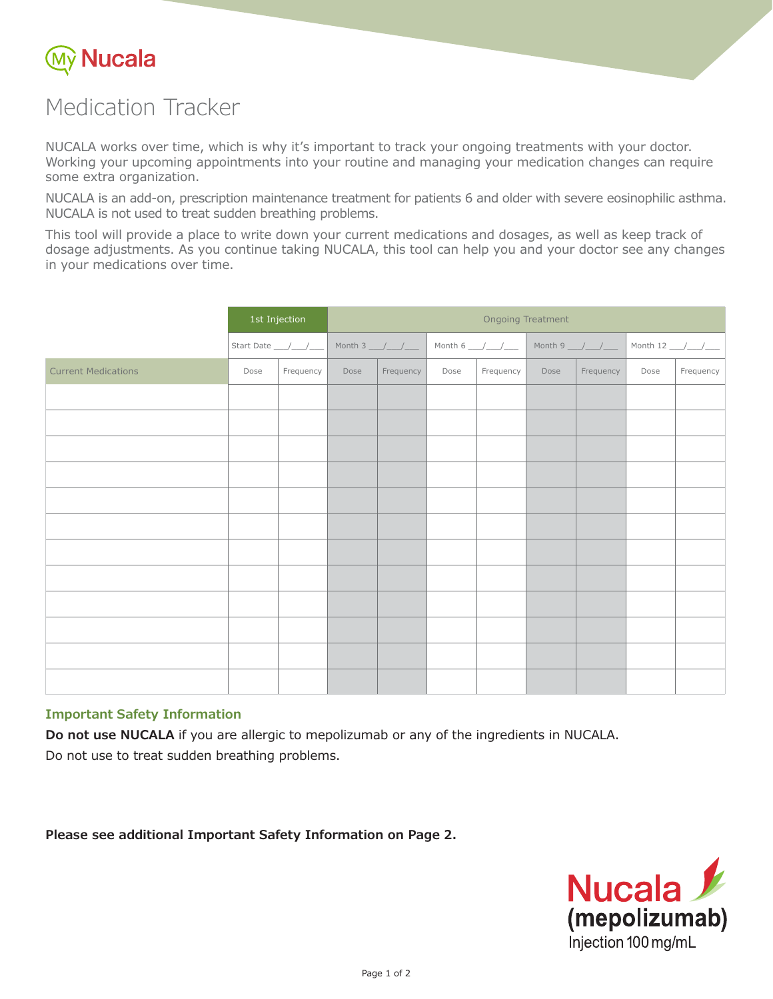

# Medication Tracker

NUCALA works over time, which is why it's important to track your ongoing treatments with your doctor. Working your upcoming appointments into your routine and managing your medication changes can require some extra organization.

NUCALA is an add-on, prescription maintenance treatment for patients 6 and older with severe eosinophilic asthma. NUCALA is not used to treat sudden breathing problems.

This tool will provide a place to write down your current medications and dosages, as well as keep track of dosage adjustments. As you continue taking NUCALA, this tool can help you and your doctor see any changes in your medications over time.

|                            | 1st Injection |           | <b>Ongoing Treatment</b> |                    |      |                  |      |                                 |      |                      |
|----------------------------|---------------|-----------|--------------------------|--------------------|------|------------------|------|---------------------------------|------|----------------------|
|                            |               |           |                          | Month $3$ __/__/__ |      | Month 6 $\angle$ |      | Month 9 $\frac{1}{\frac{1}{2}}$ |      | Month 12 ___/___/___ |
| <b>Current Medications</b> | Dose          | Frequency | Dose                     | Frequency          | Dose | Frequency        | Dose | Frequency                       | Dose | Frequency            |
|                            |               |           |                          |                    |      |                  |      |                                 |      |                      |
|                            |               |           |                          |                    |      |                  |      |                                 |      |                      |
|                            |               |           |                          |                    |      |                  |      |                                 |      |                      |
|                            |               |           |                          |                    |      |                  |      |                                 |      |                      |
|                            |               |           |                          |                    |      |                  |      |                                 |      |                      |
|                            |               |           |                          |                    |      |                  |      |                                 |      |                      |
|                            |               |           |                          |                    |      |                  |      |                                 |      |                      |
|                            |               |           |                          |                    |      |                  |      |                                 |      |                      |
|                            |               |           |                          |                    |      |                  |      |                                 |      |                      |
|                            |               |           |                          |                    |      |                  |      |                                 |      |                      |
|                            |               |           |                          |                    |      |                  |      |                                 |      |                      |
|                            |               |           |                          |                    |      |                  |      |                                 |      |                      |

## **Important Safety Information**

**Do not use NUCALA** if you are allergic to mepolizumab or any of the ingredients in NUCALA. Do not use to treat sudden breathing problems.

**Please see additional Important Safety Information on Page 2.**